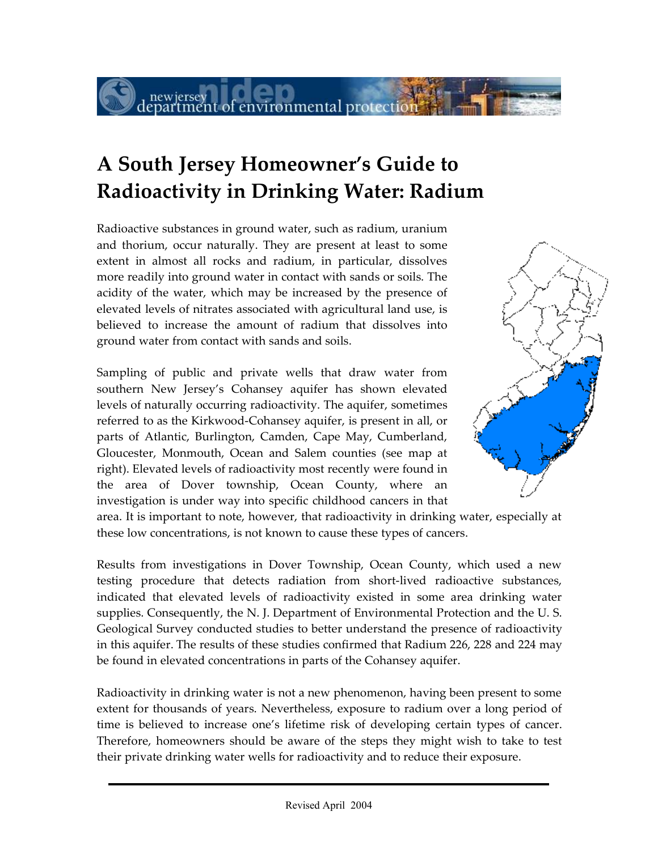# **A South Jersey Homeowner's Guide to Radioactivity in Drinking Water: Radium**

of environmental protectio

newjersey<br>epartment

Radioactive substances in ground water, such as radium, uranium and thorium, occur naturally. They are present at least to some extent in almost all rocks and radium, in particular, dissolves more readily into ground water in contact with sands or soils. The acidity of the water, which may be increased by the presence of elevated levels of nitrates associated with agricultural land use, is believed to increase the amount of radium that dissolves into ground water from contact with sands and soils.

Sampling of public and private wells that draw water from southern New Jersey's Cohansey aquifer has shown elevated levels of naturally occurring radioactivity. The aquifer, sometimes referred to as the Kirkwood-Cohansey aquifer, is present in all, or parts of Atlantic, Burlington, Camden, Cape May, Cumberland, Gloucester, Monmouth, Ocean and Salem counties (see map at right). Elevated levels of radioactivity most recently were found in the area of Dover township, Ocean County, where an investigation is under way into specific childhood cancers in that



area. It is important to note, however, that radioactivity in drinking water, especially at these low concentrations, is not known to cause these types of cancers.

Results from investigations in Dover Township, Ocean County, which used a new testing procedure that detects radiation from short-lived radioactive substances, indicated that elevated levels of radioactivity existed in some area drinking water supplies. Consequently, the N. J. Department of Environmental Protection and the U. S. Geological Survey conducted studies to better understand the presence of radioactivity in this aquifer. The results of these studies confirmed that Radium 226, 228 and 224 may be found in elevated concentrations in parts of the Cohansey aquifer.

Radioactivity in drinking water is not a new phenomenon, having been present to some extent for thousands of years. Nevertheless, exposure to radium over a long period of time is believed to increase one's lifetime risk of developing certain types of cancer. Therefore, homeowners should be aware of the steps they might wish to take to test their private drinking water wells for radioactivity and to reduce their exposure.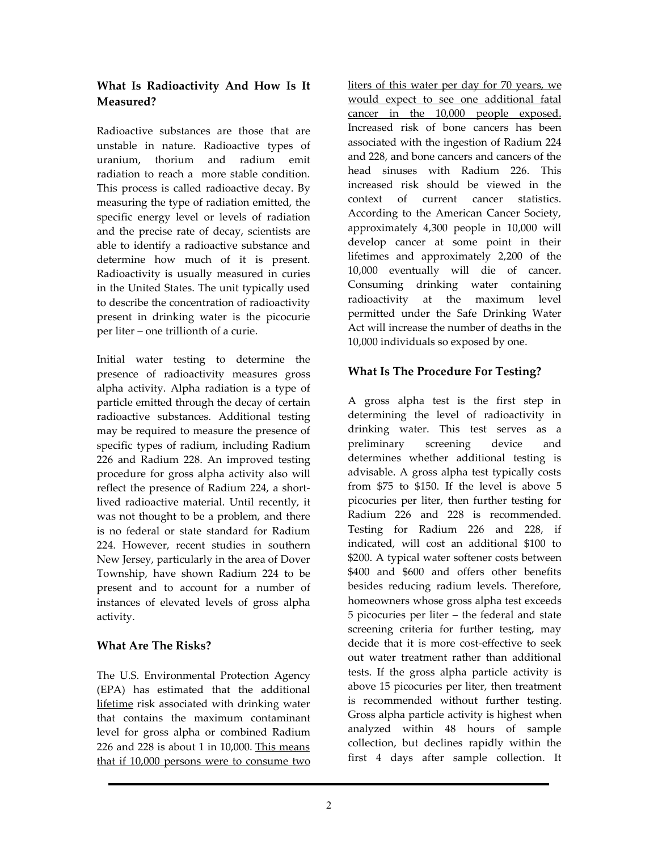# **What Is Radioactivity And How Is It Measured?**

Radioactive substances are those that are unstable in nature. Radioactive types of uranium, thorium and radium emit radiation to reach a more stable condition. This process is called radioactive decay. By measuring the type of radiation emitted, the specific energy level or levels of radiation and the precise rate of decay, scientists are able to identify a radioactive substance and determine how much of it is present. Radioactivity is usually measured in curies in the United States. The unit typically used to describe the concentration of radioactivity present in drinking water is the picocurie per liter – one trillionth of a curie.

Initial water testing to determine the presence of radioactivity measures gross alpha activity. Alpha radiation is a type of particle emitted through the decay of certain radioactive substances. Additional testing may be required to measure the presence of specific types of radium, including Radium 226 and Radium 228. An improved testing procedure for gross alpha activity also will reflect the presence of Radium 224, a shortlived radioactive material. Until recently, it was not thought to be a problem, and there is no federal or state standard for Radium 224. However, recent studies in southern New Jersey, particularly in the area of Dover Township, have shown Radium 224 to be present and to account for a number of instances of elevated levels of gross alpha activity.

# **What Are The Risks?**

The U.S. Environmental Protection Agency (EPA) has estimated that the additional lifetime risk associated with drinking water that contains the maximum contaminant level for gross alpha or combined Radium 226 and 228 is about 1 in 10,000. This means that if 10,000 persons were to consume two

liters of this water per day for 70 years, we would expect to see one additional fatal cancer in the 10,000 people exposed. Increased risk of bone cancers has been associated with the ingestion of Radium 224 and 228, and bone cancers and cancers of the head sinuses with Radium 226. This increased risk should be viewed in the context of current cancer statistics. According to the American Cancer Society, approximately 4,300 people in 10,000 will develop cancer at some point in their lifetimes and approximately 2,200 of the 10,000 eventually will die of cancer. Consuming drinking water containing radioactivity at the maximum level permitted under the Safe Drinking Water Act will increase the number of deaths in the 10,000 individuals so exposed by one.

# **What Is The Procedure For Testing?**

A gross alpha test is the first step in determining the level of radioactivity in drinking water. This test serves as a preliminary screening device and determines whether additional testing is advisable. A gross alpha test typically costs from \$75 to \$150. If the level is above 5 picocuries per liter, then further testing for Radium 226 and 228 is recommended. Testing for Radium 226 and 228, if indicated, will cost an additional \$100 to \$200. A typical water softener costs between \$400 and \$600 and offers other benefits besides reducing radium levels. Therefore, homeowners whose gross alpha test exceeds 5 picocuries per liter – the federal and state screening criteria for further testing, may decide that it is more cost-effective to seek out water treatment rather than additional tests. If the gross alpha particle activity is above 15 picocuries per liter, then treatment is recommended without further testing. Gross alpha particle activity is highest when analyzed within 48 hours of sample collection, but declines rapidly within the first 4 days after sample collection. It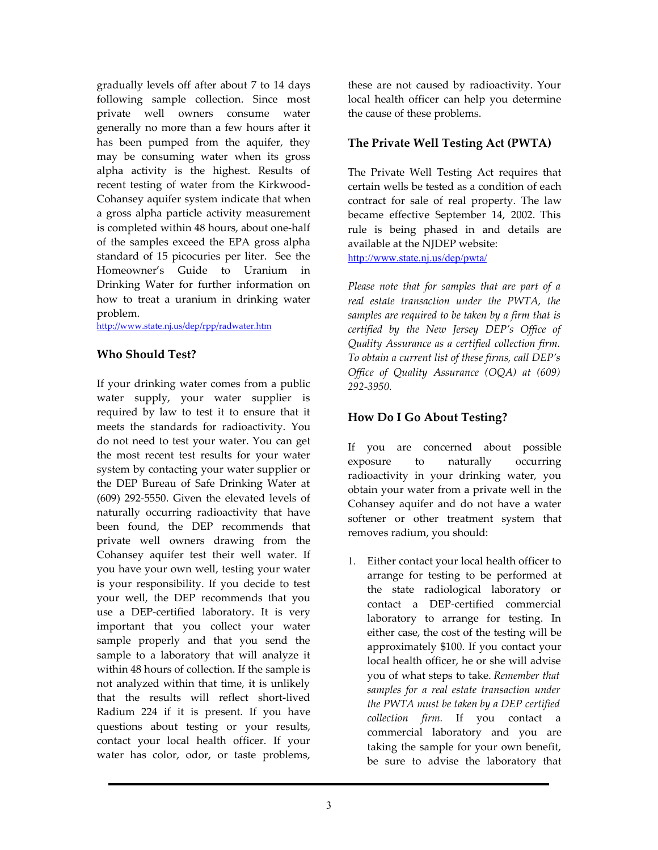gradually levels off after about 7 to 14 days following sample collection. Since most private well owners consume water generally no more than a few hours after it has been pumped from the aquifer, they may be consuming water when its gross alpha activity is the highest. Results of recent testing of water from the Kirkwood-Cohansey aquifer system indicate that when a gross alpha particle activity measurement is completed within 48 hours, about one-half of the samples exceed the EPA gross alpha standard of 15 picocuries per liter. See the Homeowner's Guide to Uranium in Drinking Water for further information on how to treat a uranium in drinking water problem.

http://www.state.nj.us/dep/rpp/radwater.htm

#### **Who Should Test?**

If your drinking water comes from a public water supply, your water supplier is required by law to test it to ensure that it meets the standards for radioactivity. You do not need to test your water. You can get the most recent test results for your water system by contacting your water supplier or the DEP Bureau of Safe Drinking Water at (609) 292-5550. Given the elevated levels of naturally occurring radioactivity that have been found, the DEP recommends that private well owners drawing from the Cohansey aquifer test their well water. If you have your own well, testing your water is your responsibility. If you decide to test your well, the DEP recommends that you use a DEP-certified laboratory. It is very important that you collect your water sample properly and that you send the sample to a laboratory that will analyze it within 48 hours of collection. If the sample is not analyzed within that time, it is unlikely that the results will reflect short-lived Radium 224 if it is present. If you have questions about testing or your results, contact your local health officer. If your water has color, odor, or taste problems,

these are not caused by radioactivity. Your local health officer can help you determine the cause of these problems.

# **The Private Well Testing Act (PWTA)**

The Private Well Testing Act requires that certain wells be tested as a condition of each contract for sale of real property. The law became effective September 14, 2002. This rule is being phased in and details are available at the NJDEP website: http://www.state.nj.us/dep/pwta/

*Please note that for samples that are part of a real estate transaction under the PWTA, the samples are required to be taken by a firm that is certified by the New Jersey DEP's Office of Quality Assurance as a certified collection firm. To obtain a current list of these firms, call DEP's Office of Quality Assurance (OQA) at (609) 292-3950.*

# **How Do I Go About Testing?**

If you are concerned about possible exposure to naturally occurring radioactivity in your drinking water, you obtain your water from a private well in the Cohansey aquifer and do not have a water softener or other treatment system that removes radium, you should:

1. Either contact your local health officer to arrange for testing to be performed at the state radiological laboratory or contact a DEP-certified commercial laboratory to arrange for testing. In either case, the cost of the testing will be approximately \$100. If you contact your local health officer, he or she will advise you of what steps to take. *Remember that samples for a real estate transaction under the PWTA must be taken by a DEP certified collection firm.* If you contact a commercial laboratory and you are taking the sample for your own benefit, be sure to advise the laboratory that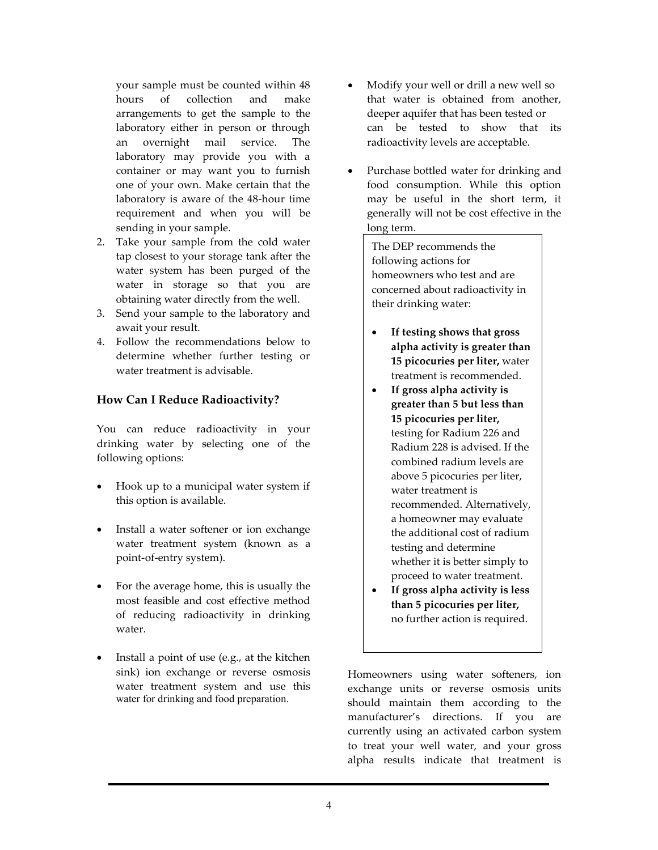your sample must be counted within 48 hours of collection and make arrangements to get the sample to the laboratory either in person or through an overnight mail service. The laboratory may provide you with a container or may want you to furnish one of your own. Make certain that the laboratory is aware of the 48-hour time requirement and when you will be sending in your sample.

- 2. Take your sample from the cold water tap closest to your storage tank after the water system has been purged of the water in storage so that you are obtaining water directly from the well.
- 3. Send your sample to the laboratory and await your result.
- 4. Follow the recommendations below to determine whether further testing or water treatment is advisable.

# **How Can I Reduce Radioactivity?**

You can reduce radioactivity in your drinking water by selecting one of the following options:

- Hook up to a municipal water system if this option is available.
- Install a water softener or ion exchange water treatment system (known as a point-of-entry system).
- For the average home, this is usually the most feasible and cost effective method of reducing radioactivity in drinking water.
- Install a point of use (e.g., at the kitchen sink) ion exchange or reverse osmosis water treatment system and use this water for drinking and food preparation.
- Modify your well or drill a new well so that water is obtained from another, deeper aquifer that has been tested or can be tested to show that its radioactivity levels are acceptable.
- Purchase bottled water for drinking and food consumption. While this option may be useful in the short term, it generally will not be cost effective in the long term.

The DEP recommends the following actions for homeowners who test and are concerned about radioactivity in their drinking water:

- **If testing shows that gross alpha activity is greater than 15 picocuries per liter,** water treatment is recommended.
- **If gross alpha activity is greater than 5 but less than 15 picocuries per liter,** testing for Radium 226 and Radium 228 is advised. If the combined radium levels are above 5 picocuries per liter, water treatment is recommended. Alternatively, a homeowner may evaluate the additional cost of radium testing and determine whether it is better simply to proceed to water treatment.
- **If gross alpha activity is less than 5 picocuries per liter,** no further action is required.

Homeowners using water softeners, ion exchange units or reverse osmosis units should maintain them according to the manufacturer's directions. If you are currently using an activated carbon system to treat your well water, and your gross alpha results indicate that treatment is